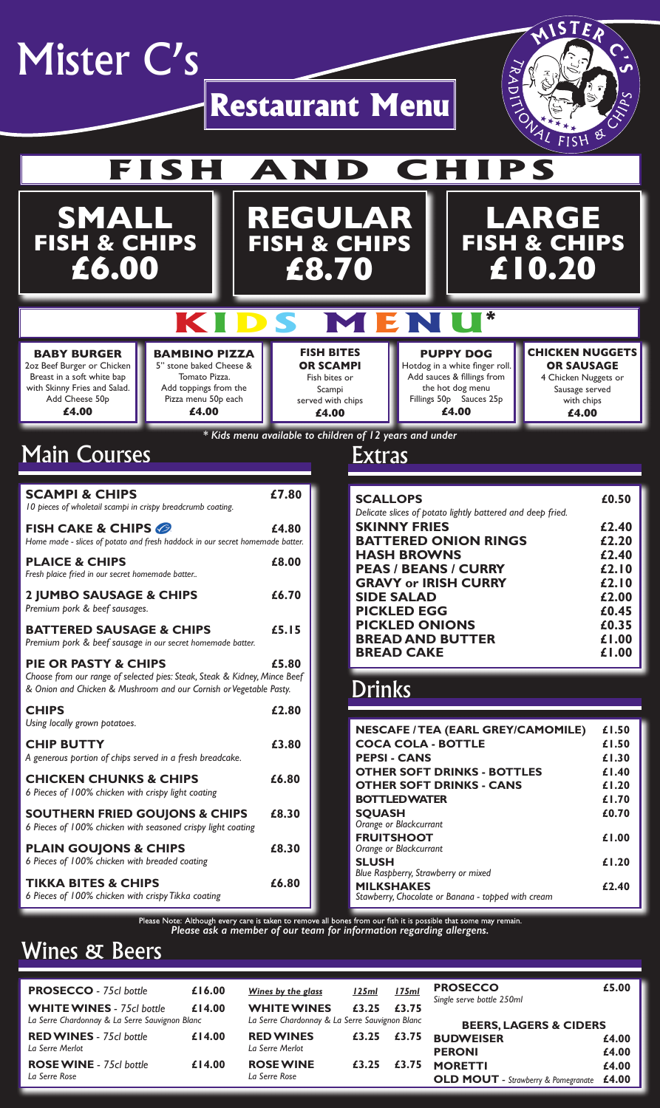

**CHIP BUTTY £3.80**

*A generous portion of chips served in a fresh breadcake.*

**CHICKEN CHUNKS & CHIPS £6.80**

*6 Pieces of 100% chicken with crispy light coating*

**SOUTHERN FRIED GOUJONS & CHIPS £8.30**

*6 Pieces of 100% chicken with seasoned crispy light coating*

#### **PLAIN GOUJONS & CHIPS £8.30**

*6 Pieces of 100% chicken with breaded coating*

**TIKKA BITES & CHIPS £6.80** *6 Pieces of 100% chicken with crispy Tikka coating*

| <b>NESCAFE / TEA (EARL GREY/CAMOMILE)</b> | £1.50 |
|-------------------------------------------|-------|
| <b>COCA COLA - BOTTLE</b>                 | £1.50 |
| <b>PEPSI-CANS</b>                         | £1.30 |
| <b>OTHER SOFT DRINKS - BOTTLES</b>        | £1.40 |
| <b>OTHER SOFT DRINKS - CANS</b>           | £1.20 |
| <b>BOTTLEDWATER</b>                       | £1.70 |
| <b>SQUASH</b>                             | £0.70 |
| Orange or Blackcurrant                    |       |
| <b>EDI IITSHOOT</b>                       | I VV  |

**FRUITSHOOT £1.00** *Orange or Blackcurrant* **SLUSH £1.20** *Blue Raspberry, Strawberry or mixed* **MILKSHAKES £2.40** *Stawberry, Chocolate or Banana - topped with cream*

Please Note: Although every care is taken to remove all bones from our fish it is possible that some may remain.<br>**Please ask a member of our team for information regarding allergens.** 

# **Wines & Beers**

| <b>PROSECCO</b> - 75cl bottle                     | £16.00 | Wines by the glass                             | <u>125ml</u> | <u>175ml</u> | <b>PROSECCO</b><br>Single serve bottle 250ml                 | £5.00          |
|---------------------------------------------------|--------|------------------------------------------------|--------------|--------------|--------------------------------------------------------------|----------------|
| <b>WHITE WINES</b> - 75cl bottle                  | £14.00 | <b>WHITE WINES</b>                             | £3.25        | £3.75        |                                                              |                |
| La Serre Chardonnay & La Serre Sauvignon Blanc    |        | La Serre Chardonnay & La Serre Sauvignon Blanc |              |              | <b>BEERS, LAGERS &amp; CIDERS</b>                            |                |
| <b>RED WINES</b> - 75cl bottle<br>La Serre Merlot | £14.00 | <b>RED WINES</b><br>La Serre Merlot            | £3.25        | £3.75        | <b>BUDWEISER</b><br><b>PERONI</b>                            | £4.00<br>£4.00 |
| <b>ROSE WINE</b> - 75cl bottle<br>La Serre Rose   | £14.00 | <b>ROSE WINE</b><br>La Serre Rose              | £3.25        | £3.75        | <b>MORETTI</b><br><b>OLD MOUT</b> - Strawberry & Pomegranate | £4.00<br>£4.00 |